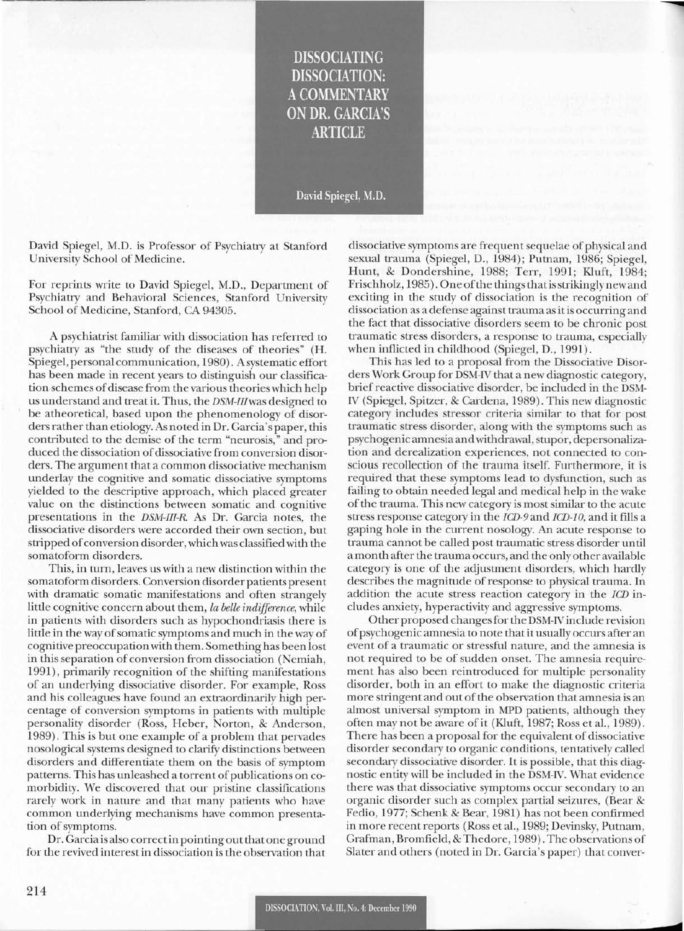**DISSOCIATING DISSOCIATION: A COMMENTARY ON DR. GARCIA'S ARTICLE** 

David Spiegel, M.D.

David Spiegel, M.D. is Professor of Psychiatry at Stanford University School of Medicine.

For reprints write to David Spiegel, M.D., Department of Psychiatry and Behavioral Sciences, Stanford University School of Medicine, Stanford, CA 94305.

A psychiatrist familiar with dissociation has referred to psychiatry as "the study of the diseases of theories" (H. Spiegel, personal communication, 1980). Asystematic effort has been made in recent years to distinguish our classification-schemes of disease from the various theories which help us understand and treat it. Thus, the *DSM-IIlwas* designed to be atheoretical, based upon the phenomenology of disorders rather than etiology. As noted in Dr. Garcia's paper, this contributed to the demise of the term "neurosis," and produced the dissociation of dissociative from conversion disorders. The argument that a common dissociative mechanism underlay the cognitive and somatic dissociative symptoms yielded to the descriptive approach, which placed greater value on the distinctions between somatic and cognitive presentations in the *DSM-III-R* As Dr. Garcia notes, the dissociative disorders were accorded their own section, but stripped of conversion disorder, which was classified with the somatoform disorders.

This, in turn, leaves us with a new distinction within the somatoform disorders. Conversion disorder patients present with dramatic somatic manifestations and often strangely little cognitive concern about them, *fa belle indifference,* while in patients with disorders such as hypochondriasis there is little in the way of somatic symptoms and much in the way of cognitive preoccupationwith them. Something has been lost in this separation of conversion from dissociation (Nemiah, 1991), primarily recognition of the shifting manifestations of an underlying dissociative disorder. For example, Ross and his colleagues have found an extraordinarily high percentage of conversion symptoms in patients with multiple personality disorder (Ross, Heber, Norton, & Anderson, 1989). This is but one example of a problem that pervades nosological systems designed to clarify distinctions between disorders and differentiate them on the basis of symptom patterns. This has unleashed a torrent of publications on comorbidity. We discovered that our pristine classifications rarely work in nature and that many patients who have common underlying mechanisms have common presentation of symptoms.

Dr. Garcia is also correctin pointing out that oneground for the revived interest in dissociation is the observation that

dissociative symptoms are frequent sequelae of physical and sexual trauma (Spiegel, D., 1984); Putnam, 1986; Spiegel, Hunt, & Dondershine, 1988; Terr, 1991; KIuft, 1984; Frischholz, 1985). One ofthe things thatis strikingly new and exciting in the study of dissociation is the recognition of dissociation as a defense against trauma as it is occurring and the fact that dissociative disorders seem to be chronic post traumatic stress disorders, a response to trauma, especially when inflicted in childhood (Spiegel, D., 1991).

This has led to a proposal from the Dissociative Disorders Work Group for DSM-IV that a new diagnostic category, brief reactive dissociative disorder, be included in the DSM-IV (Spiegel, Spitzer, & Cardena, 1989). This new diagnostic category includes stressor criteria similar to that for post traumatic stress disorder, along with the symptoms such as psychogenic amnesia andwithdrawal, stupor, depersonalization and derealization experiences, not connected to conscious recollection of the trauma itself. Furthermore, it is required that these symptoms lead to dysfunction, such as failing to obtain needed legal and medical help in the wake of the trauma. This new category is most similar to the acute stress response category in the ICD-9and *ICD-lO,* and it fills a gaping hole in the current nosology. An acute response to trauma cannot be called post traumatic stress disorder until a month after the trauma occurs, and the only other available category is one of the adjustment disorders, which hardly describes the magnitude of response to physical trauma. In addition the acute stress reaction category in the *ICD* includes anxiety, hyperactivity and aggressive symptoms.

Other proposed changesfor the DSM-IV include revision ofpsychogenic amnesia to note that it usually occurs after an event of a traumatic or stressful nature, and the amnesia is not required to be of sudden onset. The amnesia requirement has also been reintroduced for multiple personality disorder, both in an effort to make the diagnostic criteria more stringent and out of the observation that amnesia is an almost universal symptom in MPD patients, although they often may not be aware of it (Kluft, 1987; Ross et al., 1989). There has been a proposal for the equivalent of dissociative disorder secondary to organic conditions, tentatively called secondary dissociative disorder. It is possible, that this diagnostic entity will be included in the DSM-IV. What evidence there was that dissociative symptoms occur secondary to an organic disorder such as complex partial seizures, (Bear & Fedio, 1977; Schenk & Bear, 1981) has not been confirmed in more recent reports (Ross et al., 1989; Devinsky, Putnam, Grafman, Bromfield, & Thedore, 1989). The observations of Slater and others (noted in Dr. Garcia's paper) that conver